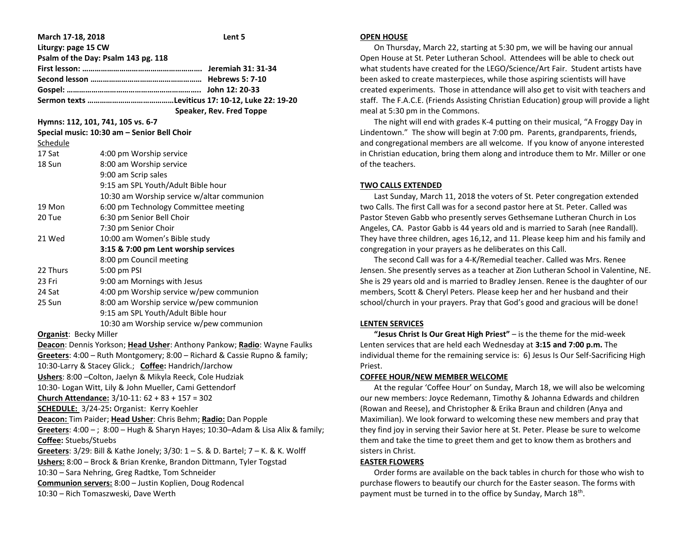| March 17-18, 2018             | Lent 5                                                                           |  |  |  |
|-------------------------------|----------------------------------------------------------------------------------|--|--|--|
| Liturgy: page 15 CW           |                                                                                  |  |  |  |
|                               | Psalm of the Day: Psalm 143 pg. 118                                              |  |  |  |
|                               |                                                                                  |  |  |  |
|                               |                                                                                  |  |  |  |
|                               |                                                                                  |  |  |  |
|                               |                                                                                  |  |  |  |
|                               | Speaker, Rev. Fred Toppe                                                         |  |  |  |
|                               | Hymns: 112, 101, 741, 105 vs. 6-7                                                |  |  |  |
|                               | Special music: 10:30 am - Senior Bell Choir                                      |  |  |  |
| Schedule                      |                                                                                  |  |  |  |
| 17 Sat                        | 4:00 pm Worship service                                                          |  |  |  |
| 18 Sun                        | 8:00 am Worship service                                                          |  |  |  |
|                               | 9:00 am Scrip sales                                                              |  |  |  |
|                               | 9:15 am SPL Youth/Adult Bible hour                                               |  |  |  |
|                               | 10:30 am Worship service w/altar communion                                       |  |  |  |
| 19 Mon                        | 6:00 pm Technology Committee meeting                                             |  |  |  |
| 20 Tue                        | 6:30 pm Senior Bell Choir                                                        |  |  |  |
|                               | 7:30 pm Senior Choir                                                             |  |  |  |
| 21 Wed                        | 10:00 am Women's Bible study                                                     |  |  |  |
|                               | 3:15 & 7:00 pm Lent worship services                                             |  |  |  |
|                               | 8:00 pm Council meeting                                                          |  |  |  |
| 22 Thurs                      | 5:00 pm PSI                                                                      |  |  |  |
| 23 Fri                        | 9:00 am Mornings with Jesus                                                      |  |  |  |
| 24 Sat                        | 4:00 pm Worship service w/pew communion                                          |  |  |  |
| 25 Sun                        | 8:00 am Worship service w/pew communion                                          |  |  |  |
|                               | 9:15 am SPL Youth/Adult Bible hour                                               |  |  |  |
|                               | 10:30 am Worship service w/pew communion                                         |  |  |  |
| <b>Organist: Becky Miller</b> |                                                                                  |  |  |  |
|                               | Deacon: Dennis Yorkson; Head Usher: Anthony Pankow; Radio: Wayne Faulks          |  |  |  |
|                               | Greeters: 4:00 - Ruth Montgomery; 8:00 - Richard & Cassie Rupno & family;        |  |  |  |
|                               | 10:30-Larry & Stacey Glick.; Coffee: Handrich/Jarchow                            |  |  |  |
|                               | Ushers: 8:00 - Colton, Jaelyn & Mikyla Reeck, Cole Hudziak                       |  |  |  |
|                               | 10:30- Logan Witt, Lily & John Mueller, Cami Gettendorf                          |  |  |  |
|                               | Church Attendance: 3/10-11: 62 + 83 + 157 = 302                                  |  |  |  |
|                               | <b>SCHEDULE:</b> 3/24-25: Organist: Kerry Koehler                                |  |  |  |
|                               | Deacon: Tim Paider; Head Usher: Chris Behm; Radio: Dan Popple                    |  |  |  |
|                               | Greeters: 4:00 - ; 8:00 - Hugh & Sharyn Hayes; 10:30-Adam & Lisa Alix & family;  |  |  |  |
| Coffee: Stuebs/Stuebs         |                                                                                  |  |  |  |
|                               | Greeters: 3/29: Bill & Kathe Jonely; 3/30: 1 - S. & D. Bartel; 7 - K. & K. Wolff |  |  |  |
|                               | Ushers: 8:00 - Brock & Brian Krenke, Brandon Dittmann, Tyler Togstad             |  |  |  |
|                               | 10:30 - Sara Nehring, Greg Radtke, Tom Schneider                                 |  |  |  |
|                               | Communion servers: 8:00 - Justin Koplien, Doug Rodencal                          |  |  |  |
|                               | 10:30 - Rich Tomaszweski, Dave Werth                                             |  |  |  |

#### **OPEN HOUSE**

 On Thursday, March 22, starting at 5:30 pm, we will be having our annual Open House at St. Peter Lutheran School. Attendees will be able to check out what students have created for the LEGO/Science/Art Fair. Student artists have been asked to create masterpieces, while those aspiring scientists will have created experiments. Those in attendance will also get to visit with teachers and staff. The F.A.C.E. (Friends Assisting Christian Education) group will provide a light meal at 5:30 pm in the Commons.

 The night will end with grades K-4 putting on their musical, "A Froggy Day in Lindentown." The show will begin at 7:00 pm. Parents, grandparents, friends, and congregational members are all welcome. If you know of anyone interested in Christian education, bring them along and introduce them to Mr. Miller or one of the teachers.

## **TWO CALLS EXTENDED**

 Last Sunday, March 11, 2018 the voters of St. Peter congregation extended two Calls. The first Call was for a second pastor here at St. Peter. Called was Pastor Steven Gabb who presently serves Gethsemane Lutheran Church in Los Angeles, CA. Pastor Gabb is 44 years old and is married to Sarah (nee Randall). They have three children, ages 16,12, and 11. Please keep him and his family and congregation in your prayers as he deliberates on this Call.

 The second Call was for a 4-K/Remedial teacher. Called was Mrs. Renee Jensen. She presently serves as a teacher at Zion Lutheran School in Valentine, NE. She is 29 years old and is married to Bradley Jensen. Renee is the daughter of our members, Scott & Cheryl Peters. Please keep her and her husband and their school/church in your prayers. Pray that God's good and gracious will be done!

# **LENTEN SERVICES**

 **"Jesus Christ Is Our Great High Priest"** – is the theme for the mid-week Lenten services that are held each Wednesday at **3:15 and 7:00 p.m.** The individual theme for the remaining service is: 6) Jesus Is Our Self-Sacrificing High Priest.

# **COFFEE HOUR/NEW MEMBER WELCOME**

 At the regular 'Coffee Hour' on Sunday, March 18, we will also be welcoming our new members: Joyce Redemann, Timothy & Johanna Edwards and children (Rowan and Reese), and Christopher & Erika Braun and children (Anya and Maximilian). We look forward to welcoming these new members and pray that they find joy in serving their Savior here at St. Peter. Please be sure to welcome them and take the time to greet them and get to know them as brothers and sisters in Christ.

# **EASTER FLOWERS**

 Order forms are available on the back tables in church for those who wish to purchase flowers to beautify our church for the Easter season. The forms with payment must be turned in to the office by Sunday, March 18<sup>th</sup>.